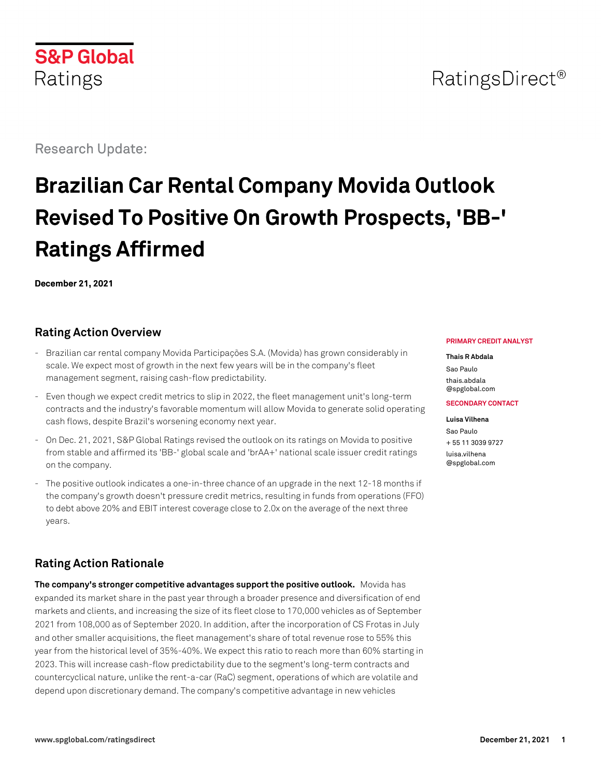## RatingsDirect<sup>®</sup>

Research Update:

**S&P Global** 

Ratings

# **Brazilian Car Rental Company Movida Outlook Revised To Positive On Growth Prospects, 'BB-' Ratings Affirmed**

**December 21, 2021**

### **Rating Action Overview**

- Brazilian car rental company Movida Participações S.A. (Movida) has grown considerably in scale. We expect most of growth in the next few years will be in the company's fleet management segment, raising cash-flow predictability.
- Even though we expect credit metrics to slip in 2022, the fleet management unit's long-term contracts and the industry's favorable momentum will allow Movida to generate solid operating cash flows, despite Brazil's worsening economy next year.
- On Dec. 21, 2021, S&P Global Ratings revised the outlook on its ratings on Movida to positive from stable and affirmed its 'BB-' global scale and 'brAA+' national scale issuer credit ratings on the company.
- The positive outlook indicates a one-in-three chance of an upgrade in the next 12-18 months if the company's growth doesn't pressure credit metrics, resulting in funds from operations (FFO) to debt above 20% and EBIT interest coverage close to 2.0x on the average of the next three years.

## **Rating Action Rationale**

**The company's stronger competitive advantages support the positive outlook.** Movida has expanded its market share in the past year through a broader presence and diversification of end markets and clients, and increasing the size of its fleet close to 170,000 vehicles as of September 2021 from 108,000 as of September 2020. In addition, after the incorporation of CS Frotas in July and other smaller acquisitions, the fleet management's share of total revenue rose to 55% this year from the historical level of 35%-40%. We expect this ratio to reach more than 60% starting in 2023. This will increase cash-flow predictability due to the segment's long-term contracts and countercyclical nature, unlike the rent-a-car (RaC) segment, operations of which are volatile and depend upon discretionary demand. The company's competitive advantage in new vehicles

#### **PRIMARY CREDIT ANALYST**

**Thais R Abdala** Sao Paulo [thais.abdala](mailto:thais.abdala@spglobal.com) [@spglobal.com](mailto:thais.abdala@spglobal.com)

#### **SECONDARY CONTACT**

**Luisa Vilhena** Sao Paulo + 55 11 3039 9727 [luisa.vilhena](mailto:luisa.vilhena@spglobal.com) [@spglobal.com](mailto:luisa.vilhena@spglobal.com)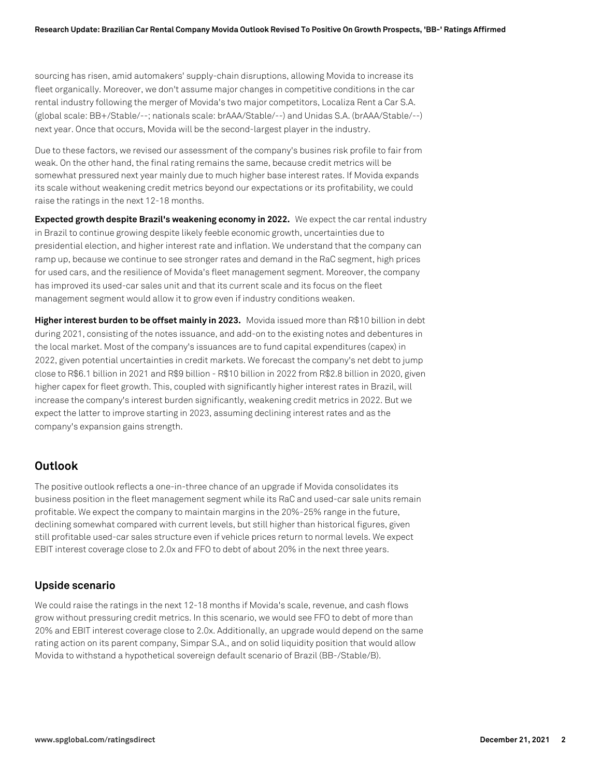sourcing has risen, amid automakers' supply-chain disruptions, allowing Movida to increase its fleet organically. Moreover, we don't assume major changes in competitive conditions in the car rental industry following the merger of Movida's two major competitors, Localiza Rent a Car S.A. (global scale: BB+/Stable/--; nationals scale: brAAA/Stable/--) and Unidas S.A. (brAAA/Stable/--) next year. Once that occurs, Movida will be the second-largest player in the industry.

Due to these factors, we revised our assessment of the company's busines risk profile to fair from weak. On the other hand, the final rating remains the same, because credit metrics will be somewhat pressured next year mainly due to much higher base interest rates. If Movida expands its scale without weakening credit metrics beyond our expectations or its profitability, we could raise the ratings in the next 12-18 months.

**Expected growth despite Brazil's weakening economy in 2022.** We expect the car rental industry in Brazil to continue growing despite likely feeble economic growth, uncertainties due to presidential election, and higher interest rate and inflation. We understand that the company can ramp up, because we continue to see stronger rates and demand in the RaC segment, high prices for used cars, and the resilience of Movida's fleet management segment. Moreover, the company has improved its used-car sales unit and that its current scale and its focus on the fleet management segment would allow it to grow even if industry conditions weaken.

**Higher interest burden to be offset mainly in 2023.** Movida issued more than R\$10 billion in debt during 2021, consisting of the notes issuance, and add-on to the existing notes and debentures in the local market. Most of the company's issuances are to fund capital expenditures (capex) in 2022, given potential uncertainties in credit markets. We forecast the company's net debt to jump close to R\$6.1 billion in 2021 and R\$9 billion - R\$10 billion in 2022 from R\$2.8 billion in 2020, given higher capex for fleet growth. This, coupled with significantly higher interest rates in Brazil, will increase the company's interest burden significantly, weakening credit metrics in 2022. But we expect the latter to improve starting in 2023, assuming declining interest rates and as the company's expansion gains strength.

#### **Outlook**

The positive outlook reflects a one-in-three chance of an upgrade if Movida consolidates its business position in the fleet management segment while its RaC and used-car sale units remain profitable. We expect the company to maintain margins in the 20%-25% range in the future, declining somewhat compared with current levels, but still higher than historical figures, given still profitable used-car sales structure even if vehicle prices return to normal levels. We expect EBIT interest coverage close to 2.0x and FFO to debt of about 20% in the next three years.

#### **Upside scenario**

We could raise the ratings in the next 12-18 months if Movida's scale, revenue, and cash flows grow without pressuring credit metrics. In this scenario, we would see FFO to debt of more than 20% and EBIT interest coverage close to 2.0x. Additionally, an upgrade would depend on the same rating action on its parent company, Simpar S.A., and on solid liquidity position that would allow Movida to withstand a hypothetical sovereign default scenario of Brazil (BB-/Stable/B).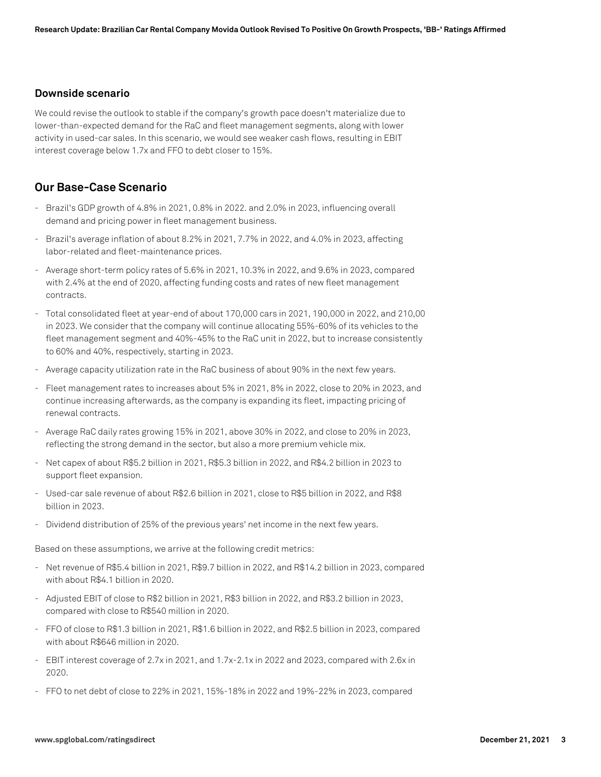#### **Downside scenario**

We could revise the outlook to stable if the company's growth pace doesn't materialize due to lower-than-expected demand for the RaC and fleet management segments, along with lower activity in used-car sales. In this scenario, we would see weaker cash flows, resulting in EBIT interest coverage below 1.7x and FFO to debt closer to 15%.

#### **Our Base-Case Scenario**

- Brazil's GDP growth of 4.8% in 2021, 0.8% in 2022. and 2.0% in 2023, influencing overall demand and pricing power in fleet management business.
- Brazil's average inflation of about 8.2% in 2021, 7.7% in 2022, and 4.0% in 2023, affecting labor-related and fleet-maintenance prices.
- Average short-term policy rates of 5.6% in 2021, 10.3% in 2022, and 9.6% in 2023, compared with 2.4% at the end of 2020, affecting funding costs and rates of new fleet management contracts.
- Total consolidated fleet at year-end of about 170,000 cars in 2021, 190,000 in 2022, and 210,00 in 2023. We consider that the company will continue allocating 55%-60% of its vehicles to the fleet management segment and 40%-45% to the RaC unit in 2022, but to increase consistently to 60% and 40%, respectively, starting in 2023.
- Average capacity utilization rate in the RaC business of about 90% in the next few years.
- Fleet management rates to increases about 5% in 2021, 8% in 2022, close to 20% in 2023, and continue increasing afterwards, as the company is expanding its fleet, impacting pricing of renewal contracts.
- Average RaC daily rates growing 15% in 2021, above 30% in 2022, and close to 20% in 2023, reflecting the strong demand in the sector, but also a more premium vehicle mix.
- Net capex of about R\$5.2 billion in 2021, R\$5.3 billion in 2022, and R\$4.2 billion in 2023 to support fleet expansion.
- Used-car sale revenue of about R\$2.6 billion in 2021, close to R\$5 billion in 2022, and R\$8 billion in 2023.
- Dividend distribution of 25% of the previous years' net income in the next few years.

Based on these assumptions, we arrive at the following credit metrics:

- Net revenue of R\$5.4 billion in 2021, R\$9.7 billion in 2022, and R\$14.2 billion in 2023, compared with about R\$4.1 billion in 2020.
- Adjusted EBIT of close to R\$2 billion in 2021, R\$3 billion in 2022, and R\$3.2 billion in 2023, compared with close to R\$540 million in 2020.
- FFO of close to R\$1.3 billion in 2021, R\$1.6 billion in 2022, and R\$2.5 billion in 2023, compared with about R\$646 million in 2020.
- EBIT interest coverage of 2.7x in 2021, and 1.7x-2.1x in 2022 and 2023, compared with 2.6x in 2020.
- FFO to net debt of close to 22% in 2021, 15%-18% in 2022 and 19%-22% in 2023, compared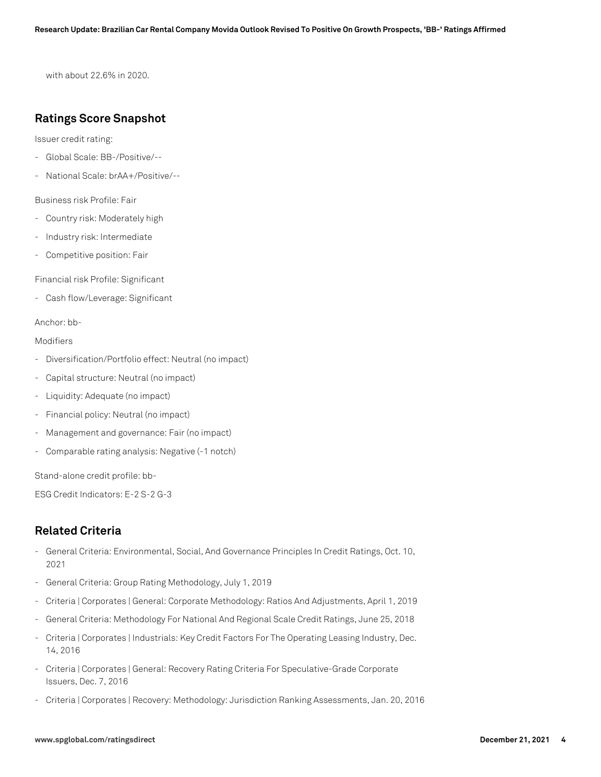with about 22.6% in 2020.

#### **Ratings Score Snapshot**

Issuer credit rating:

- Global Scale: BB-/Positive/--
- National Scale: brAA+/Positive/--

Business risk Profile: Fair

- Country risk: Moderately high
- Industry risk: Intermediate
- Competitive position: Fair

Financial risk Profile: Significant

- Cash flow/Leverage: Significant

#### Anchor: bb-

Modifiers

- Diversification/Portfolio effect: Neutral (no impact)
- Capital structure: Neutral (no impact)
- Liquidity: Adequate (no impact)
- Financial policy: Neutral (no impact)
- Management and governance: Fair (no impact)
- Comparable rating analysis: Negative (-1 notch)

Stand-alone credit profile: bb-

ESG Credit Indicators: E-2 S-2 G-3

#### **Related Criteria**

- General Criteria: Environmental, Social, And Governance Principles In Credit Ratings, Oct. 10, 2021
- General Criteria: Group Rating Methodology, July 1, 2019
- Criteria | Corporates | General: Corporate Methodology: Ratios And Adjustments, April 1, 2019
- General Criteria: Methodology For National And Regional Scale Credit Ratings, June 25, 2018
- Criteria | Corporates | Industrials: Key Credit Factors For The Operating Leasing Industry, Dec. 14, 2016
- Criteria | Corporates | General: Recovery Rating Criteria For Speculative-Grade Corporate Issuers, Dec. 7, 2016
- Criteria | Corporates | Recovery: Methodology: Jurisdiction Ranking Assessments, Jan. 20, 2016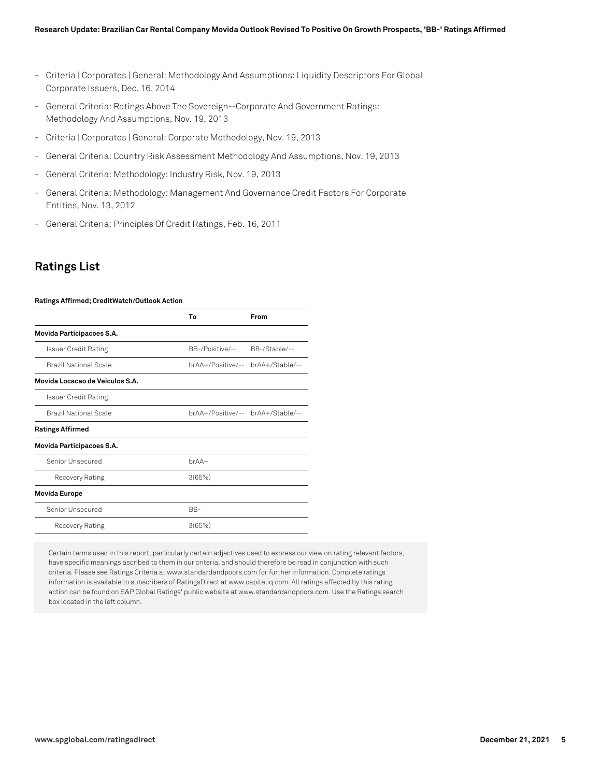- Criteria | Corporates | General: Methodology And Assumptions: Liquidity Descriptors For Global Corporate Issuers, Dec. 16, 2014
- General Criteria: Ratings Above The Sovereign--Corporate And Government Ratings: Methodology And Assumptions, Nov. 19, 2013
- Criteria | Corporates | General: Corporate Methodology, Nov. 19, 2013
- General Criteria: Country Risk Assessment Methodology And Assumptions, Nov. 19, 2013
- General Criteria: Methodology: Industry Risk, Nov. 19, 2013
- General Criteria: Methodology: Management And Governance Credit Factors For Corporate Entities, Nov. 13, 2012
- General Criteria: Principles Of Credit Ratings, Feb. 16, 2011

#### **Ratings List**

#### **Ratings Affirmed; CreditWatch/Outlook Action**

|                                 | Т٥              | From                              |
|---------------------------------|-----------------|-----------------------------------|
| Movida Participacoes S.A.       |                 |                                   |
| Issuer Credit Rating            | BB-/Positive/-- | BB-/Stable/--                     |
| Brazil National Scale           |                 | brAA+/Positive/-- brAA+/Stable/-- |
| Movida Locacao de Veiculos S.A. |                 |                                   |
| <b>Issuer Credit Rating</b>     |                 |                                   |
| Brazil National Scale           |                 | brAA+/Positive/-- brAA+/Stable/-- |
| <b>Ratings Affirmed</b>         |                 |                                   |
| Movida Participacoes S.A.       |                 |                                   |
| Senior Unsecured                | $brAA+$         |                                   |
| Recovery Rating                 | 3(65%)          |                                   |
| <b>Movida Europe</b>            |                 |                                   |
| Senior Unsecured                | BB-             |                                   |
| Recovery Rating                 | 3(65%)          |                                   |

Certain terms used in this report, particularly certain adjectives used to express our view on rating relevant factors, have specific meanings ascribed to them in our criteria, and should therefore be read in conjunction with such criteria. Please see Ratings Criteria at www.standardandpoors.com for further information. Complete ratings information is available to subscribers of RatingsDirect at www.capitaliq.com. All ratings affected by this rating action can be found on S&P Global Ratings' public website at www.standardandpoors.com. Use the Ratings search box located in the left column.